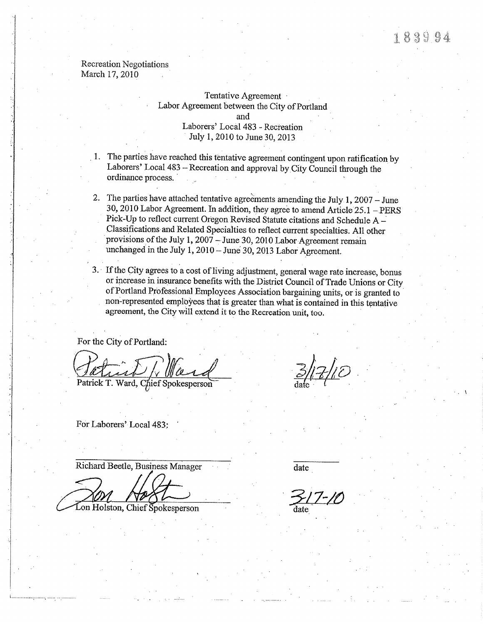#### **Recreation Negotiations** March 17, 2010

### Tentative Agreement Labor Agreement between the City of Portland and Laborers' Local 483 - Recreation July 1, 2010 to June 30, 2013

- 1. The parties have reached this tentative agreement contingent upon ratification by Laborers' Local 483 - Recreation and approval by City Council through the ordinance process.
- 2. The parties have attached tentative agreements amending the July 1, 2007 June 30, 2010 Labor Agreement. In addition, they agree to amend Article 25.1 - PERS Pick-Up to reflect current Oregon Revised Statute citations and Schedule A -Classifications and Related Specialties to reflect current specialties. All other provisions of the July 1, 2007 - June 30, 2010 Labor Agreement remain unchanged in the July 1, 2010 - June 30, 2013 Labor Agreement.
- 3. If the City agrees to a cost of living adjustment, general wage rate increase, bonus or increase in insurance benefits with the District Council of Trade Unions or City of Portland Professional Employees Association bargaining units, or is granted to non-represented employees that is greater than what is contained in this tentative agreement, the City will extend it to the Recreation unit, too.

For the City of Portland:

Patrick T. Ward, Chief Spokesperson

For Laborers' Local 483:

Richard Beetle, Business Manager

Lon Holston, Chief Spokesperson

date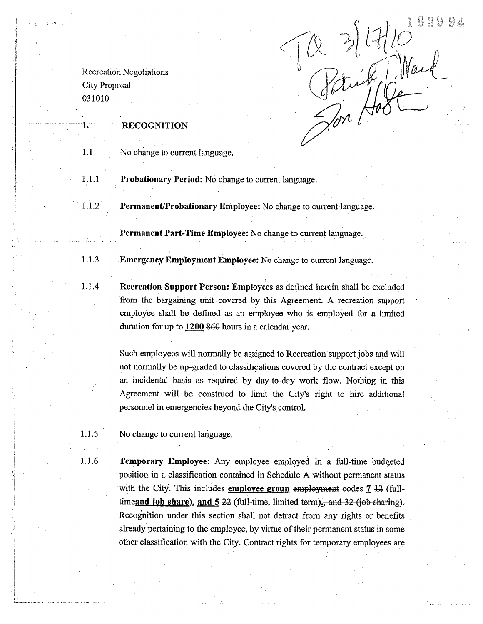$x = \frac{3}{100}$ 

**Recreation Negotiations City Proposal** 031010

Ŧ.

### **RECOGNITION**

1.1 No change to current language.

1.1.1 Probationary Period: No change to current language.

 $1.1.2$ Permanent/Probationary Employee: No change to current language.

**Permanent Part-Time Employee:** No change to current language.

1.1.3 Emergency Employment Employee: No change to current language.

 $1.1.4$ Recreation Support Person: Employees as defined herein shall be excluded from the bargaining unit covered by this Agreement. A recreation support employee shall be defined as an employee who is employed for a limited duration for up to 1200 860 hours in a calendar year.

> Such employees will normally be assigned to Recreation support jobs and will not normally be up-graded to classifications covered by the contract except on an incidental basis as required by day-to-day work flow. Nothing in this Agreement will be construed to limit the City's right to hire additional personnel in emergencies beyond the City's control.

1.1.5 No change to current language.

1.1.6 Temporary Employee: Any employee employed in a full-time budgeted position in a classification contained in Schedule A without permanent status with the City. This includes employee group employment codes  $7\,42$  (fulltime and job share), and  $5.22$  (full-time, limited term)., and  $32$  (job sharing). Recognition under this section shall not detract from any rights or benefits already pertaining to the employee, by virtue of their permanent status in some other classification with the City. Contract rights for temporary employees are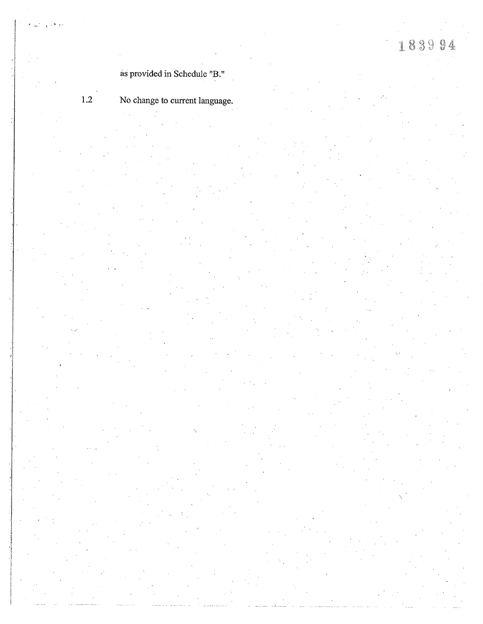# as provided in Schedule "B."

 $1.2$ 

# No change to current language.

- 
- 
- -
- -
- 
- 
- -
- 
- 
- -
	-
- 
- 
- 
- 
- 
- 
- - - -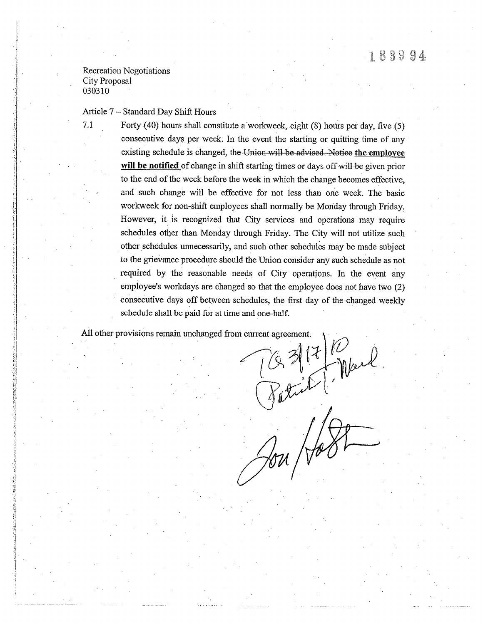### **Recreation Negotiations** City Proposal 030310

 $7.1$ 

Article 7 – Standard Day Shift Hours

Forty (40) hours shall constitute a workweek, eight (8) hours per day, five (5) consecutive days per week. In the event the starting or quitting time of any existing schedule is changed, the Union will be advised. Notice the employee will be notified of change in shift starting times or days off will be given prior to the end of the week before the week in which the change becomes effective. and such change will be effective for not less than one week. The basic workweek for non-shift employees shall normally be Monday through Friday. However, it is recognized that City services and operations may require schedules other than Monday through Friday. The City will not utilize such other schedules unnecessarily, and such other schedules may be made subject to the grievance procedure should the Union consider any such schedule as not required by the reasonable needs of City operations. In the event any employee's workdays are changed so that the employee does not have two (2) consecutive days off between schedules, the first day of the changed weekly schedule shall be paid for at time and one-half.

All other provisions remain unchanged from current agreement.

 $31710$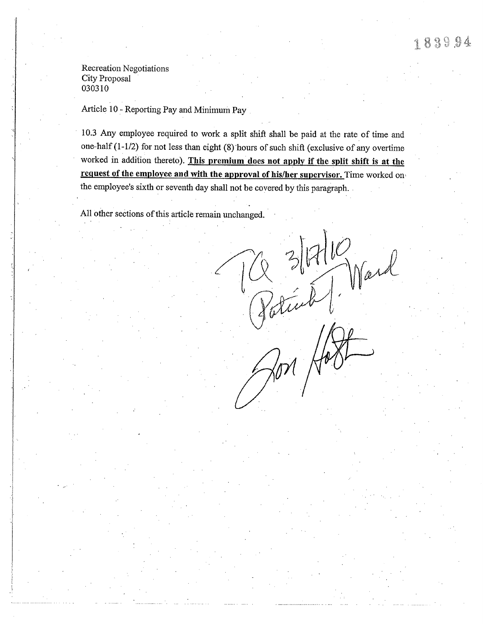Article 10 - Reporting Pay and Minimum pay

10.3 Any employee required to work a split shift shall be paid at the rate of time and one-half  $(1-1/2)$  for not less than eight  $(8)$  hours of such shift (exclusive of any overtime worked in addition thereto). This premium does not apply if the split shift is at the request of the employee and with the approval of his/her supervisor. Time worked on, the employee's sixth or seventh day shall not be covered by this paragraph.

All other sections of this article remain unchanged.

 $(\frac{Q}{Pathint})$  Mard  $\mathbb{Z}^{\mathfrak{g}\times\mathfrak{g}}$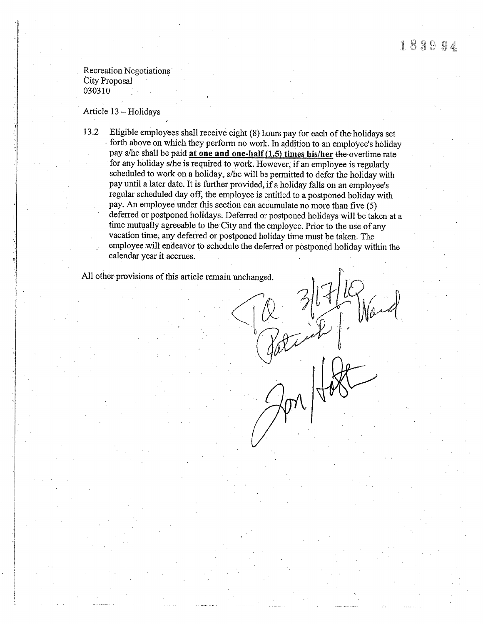Article 13 - Holidays

Eligible employees shall receive eight (8) hours pay for each of the holidays set 13.2 forth above on which they perform no work. In addition to an employee's holiday pay s/he shall be paid at one and one-half (1.5) times his/her the overtime rate for any holiday s/he is required to work. However, if an employee is regularly scheduled to work on a holiday, s/he will be permitted to defer the holiday with pay until a later date. It is further provided, if a holiday falls on an employee's regular scheduled day off, the employee is entitled to a postponed holiday with pay. An employee under this section can accumulate no more than five  $(5)$ deferred or postponed holidays. Deferred or postponed holidays will be taken at a time mutually agreeable to the City and the employee. Prior to the use of any vacation time, any deferred or postponed holiday time must be taken. The employee will endeavor to schedule the deferred or postponed holiday within the calendar year it accrues.

All other provisions of this article remain unchanged.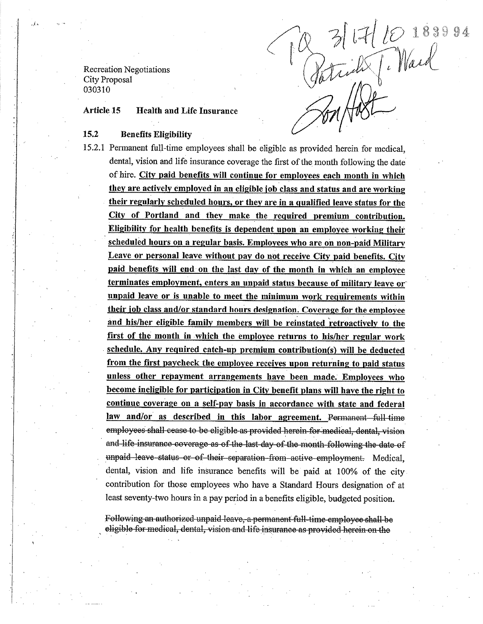Q 3/17/10 1889

#### **Health and Life Insurance Article 15**

#### 15.2 **Benefits Eligibility**

15.2.1 Permanent full-time employees shall be eligible as provided herein for medical, dental, vision and life insurance coverage the first of the month following the date of hire. City paid benefits will continue for employees each month in which they are actively employed in an eligible job class and status and are working their regularly scheduled hours, or they are in a qualified leave status for the City of Portland and they make the required premium contribution. Eligibility for health benefits is dependent upon an employee working their scheduled hours on a regular basis. Employees who are on non-paid Military Leave or personal leave without pay do not receive City paid benefits. City paid benefits will end on the last day of the month in which an employee terminates employment, enters an unpaid status because of military leave or unpaid leave or is unable to meet the minimum work requirements within their job class and/or standard hours designation. Coverage for the employee and his/her eligible family members will be reinstated retroactively to the first of the month in which the employee returns to his/her regular work schedule. Any required catch-up premium contribution(s) will be deducted from the first paycheck the employee receives upon returning to paid status unless other repayment arrangements have been made. Employees who become ineligible for participation in City benefit plans will have the right to continue coverage on a self-pay basis in accordance with state and federal law and/or as described in this labor agreement. Permanent full-time employees shall cease to be eligible as provided herein for medical, dental, vision and life insurance coverage as of the last day of the month following the date of unpaid leave status or of their separation from active employment. Medical, dental, vision and life insurance benefits will be paid at 100% of the city contribution for those employees who have a Standard Hours designation of at least seventy-two hours in a pay period in a benefits eligible, budgeted position.

Following an authorized unpaid leave, a permanent full-time employee shall be eligible for medical, dental, vision and life insurance as provided herein on the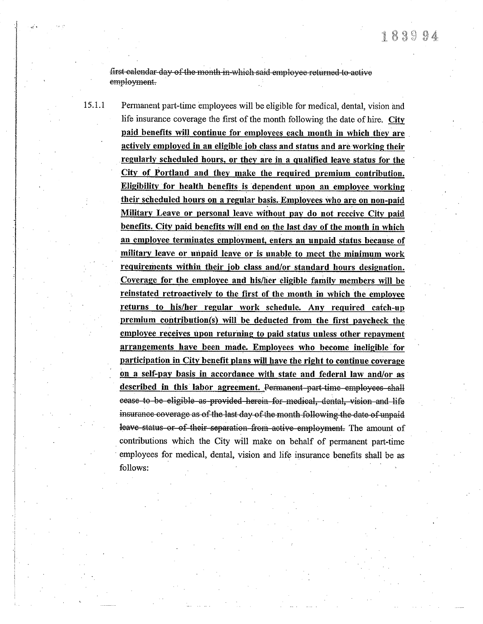first calendar day of the month in which said employee returned to active employment.

15.1.1 Permanent part-time employees will be eligible for medical, dental, vision and life insurance coverage the first of the month following the date of hire. City paid benefits will continue for employees each month in which they are actively employed in an eligible job class and status and are working their regularly scheduled hours, or they are in a qualified leave status for the City of Portland and they make the required premium contribution. Eligibility for health benefits is dependent upon an employee working their scheduled hours on a regular basis. Employees who are on non-paid Military Leave or personal leave without pay do not receive City paid benefits. City paid benefits will end on the last day of the month in which an employee terminates employment, enters an unpaid status because of military leave or unpaid leave or is unable to meet the minimum work requirements within their job class and/or standard hours designation. Coverage for the employee and his/her eligible family members will be reinstated retroactively to the first of the month in which the employee returns to his/her regular work schedule. Any required catch-up premium contribution(s) will be deducted from the first paycheck the employee receives upon returning to paid status unless other repayment arrangements have been made. Employees who become ineligible for participation in City benefit plans will have the right to continue coverage on a self-pay basis in accordance with state and federal law and/or as described in this labor agreement. Permanent part-time employees shall cease to be eligible as provided herein for medical, dental, vision and life insurance coverage as of the last day of the month following the date of unpaid leave status or of their separation from active employment. The amount of contributions which the City will make on behalf of permanent part-time employees for medical, dental, vision and life insurance benefits shall be as follows: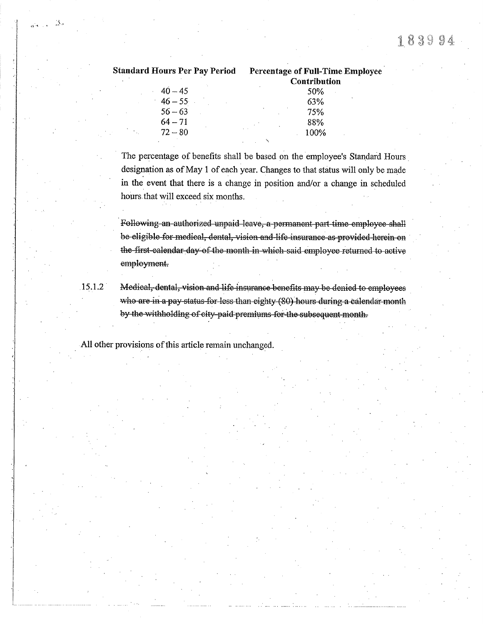| Standard Hours Per Pay Period | <b>Percentage of Full-Time Employee</b><br>Contribution |
|-------------------------------|---------------------------------------------------------|
| $40 - 45$                     | 50%                                                     |
| $46 - 55$                     | 63%                                                     |
| $56 - 63$                     | 75%                                                     |
| $64 - 71$                     | 88%                                                     |
| $72 - 80$                     | 100%                                                    |
|                               |                                                         |

The percentage of benefits shall be based on the employee's Standard Hours designation as of May 1 of each year. Changes to that status will only be made in the event that there is a change in position and/or a change in scheduled hours that will exceed six months.

Following an authorized unpaid leave, a permanent part time employee shall be eligible for medical, dental, vision and life insurance as provided herein on the first-calendar day of the month in which said employee returned to active employment.

15.1.2

Medical, dental, vision and life insurance benefits may be denied to employees who are in a pay status for less than eighty (80) hours during a calendar month by the withholding of city-paid premiums for the subsequent month.

All other provisions of this article remain unchanged.

 $\sim$   $3s$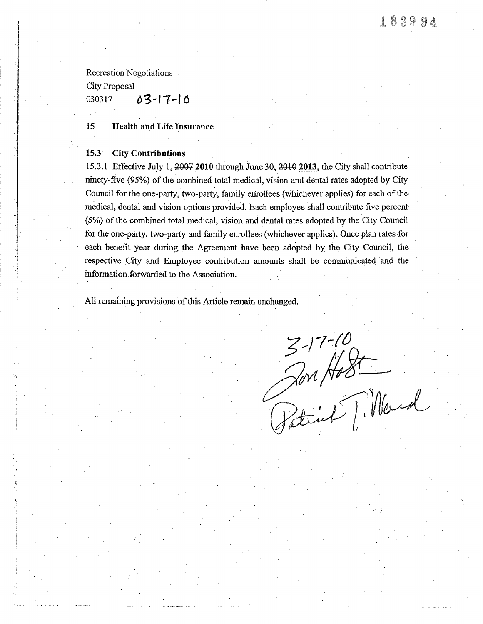Recreation Negotiations

City Proposal

03-17-10 030317

15 **Health and Life Insurance** 

#### 15.3 **City Contributions**

15.3.1 Effective July 1, 2007 2010 through June 30, 2010 2013, the City shall contribute ninety-five (95%) of the combined total medical, vision and dental rates adopted by City Council for the one-party, two-party, family enrollees (whichever applies) for each of the medical, dental and vision options provided. Each employee shall contribute five percent (5%) of the combined total medical, vision and dental rates adopted by the City Council for the one-party, two-party and family enrollees (whichever applies). Once plan rates for each benefit year during the Agreement have been adopted by the City Council, the respective City and Employee contribution amounts shall be communicated and the information forwarded to the Association.

All remaining provisions of this Article remain unchanged.

 $3-17-10$ <br>an Host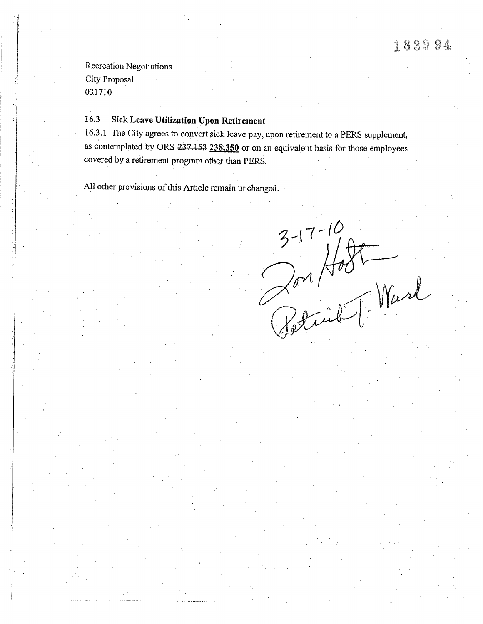#### 16.3 **Sick Leave Utilization Upon Retirement**

16.3.1 The City agrees to convert sick leave pay, upon retirement to a PERS supplement, as contemplated by ORS 237.153 238.350 or on an equivalent basis for those employees covered by a retirement program other than PERS.

All other provisions of this Article remain unchanged.

 $3-17-10$ <br>Por Host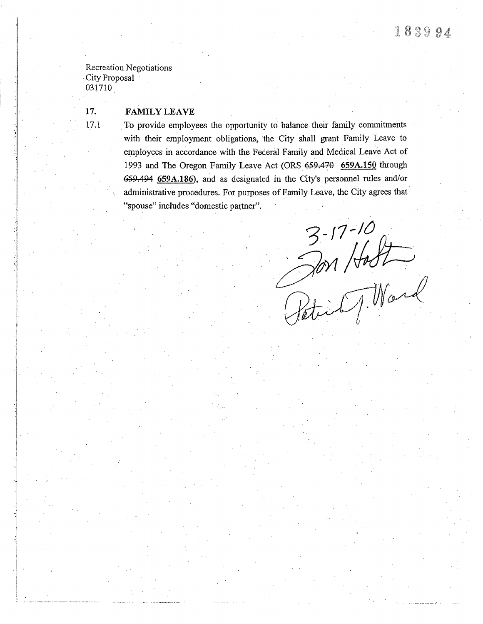i .l

### 17. FAMILY LEAVE

17.1 To provide employees the opportunity to balance their family commitments with their employment obligations, the City shall grant Family Leave to employees in accordance with the Federal Family and Medical Leave Act of 1993 and The Oregon Family Leave Act (ORS 659.470 659A.150 through 659.494 659A.186), and as designated in the City's personnel rules and/or administrative procedures. For purposes of Family Leave, the City agrees that "spouse" includes "domestic partner".

 $3-17-10$ <br>an Holt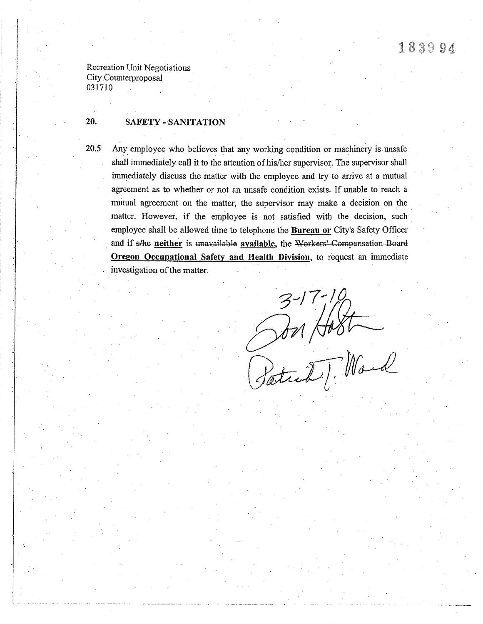Recreation Unit Negotiations City Counterproposal 031710

20.5

#### 20. **SAFETY - SANITATION**

Any employee who believes that any working condition or machinery is unsafe shall immediately call it to the attention of his/her supervisor. The supervisor shall immediately discuss the matter with the employee and try to arrive at a mutual agreement as to whether or not an unsafe condition exists. If unable to reach a mutual agreement on the matter, the supervisor may make a decision on the matter. However, if the employee is not satisfied with the decision, such employee shall be allowed time to telephone the Bureau or City's Safety Officer and if s/he neither is unavailable available, the Workers' Compensation Board Oregon Occupational Safety and Health Division, to request an immediate investigation of the matter.

Son Hart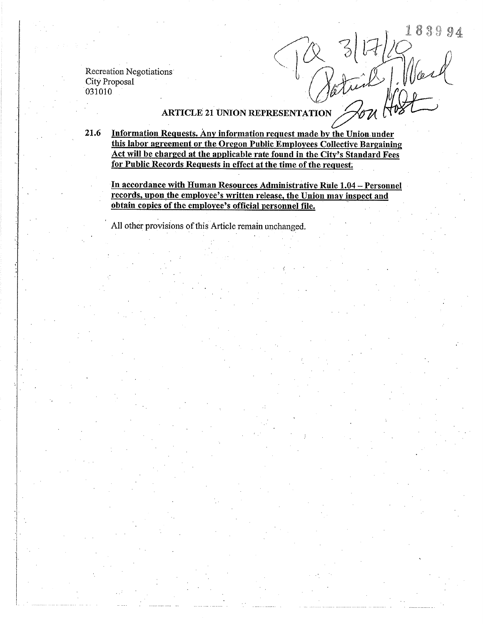R 3/17/10 1839

# ARTICLE 21 UNION REPRESENTATION

21.6 Information Requests. Any information request made by the Union under this labor agreement or the Oregon Public Employees Collective Bargaining Act will be charged at the applicable rate found in the City's Standard Fees for Public Records Requests in effect at the time of the request.

In accordance with Human Resources Administrative Rule 1.04 - Personnel records, upon the employee's written release, the Union may inspect and obtain copies of the employee's official personnel file.

All other provisions of this Article remain unchanged.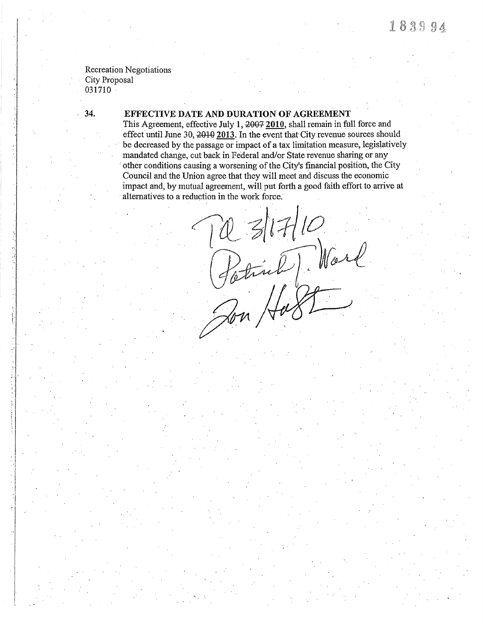Recreation Negotiations City Proposal 03 I 710

### 34. EFFECTIVE DATE AND DURATION OF AGREEMENT

This Agreement, effective July 1, 2007 2010, shall remain in full force and effect until June 30,  $2010$  2013. In the event that City revenue sources should be decreased by the passage or impact of a tax limitation measure, legislatively mandated change, cut back in Federal and/or State revenue sharing or any 'other conditions causing a worsening of the City's financial position, the City Council and the Union agree that they will meet and discuss the economic impact and, by mutual agreement, will put forth a good faith effort to arrive at altematives to a reduction in the work force.

TO 3/17/10<br>Potinh Mark